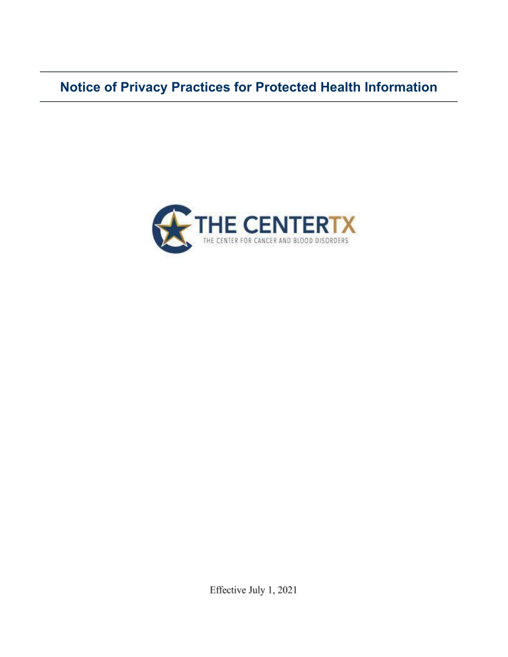**Notice of Privacy Practices for Protected Health Information**



Effective July 1, 2021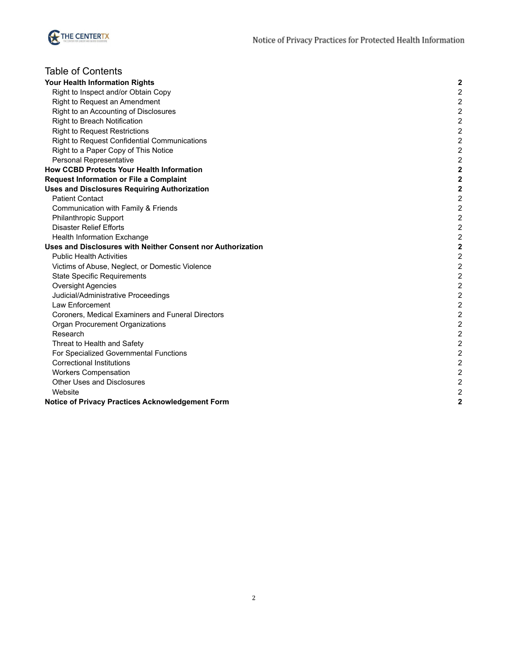

| <b>Table of Contents</b>                                    |                         |
|-------------------------------------------------------------|-------------------------|
| Your Health Information Rights                              | $\mathbf{2}$            |
| Right to Inspect and/or Obtain Copy                         | $\mathbf 2$             |
| Right to Request an Amendment                               | $\overline{2}$          |
| Right to an Accounting of Disclosures                       | $\overline{2}$          |
| Right to Breach Notification                                | $\overline{2}$          |
| <b>Right to Request Restrictions</b>                        | $\overline{2}$          |
| Right to Request Confidential Communications                | $\overline{\mathbf{c}}$ |
| Right to a Paper Copy of This Notice                        | $\overline{\mathbf{c}}$ |
| Personal Representative                                     | $\overline{2}$          |
| <b>How CCBD Protects Your Health Information</b>            | $\overline{\mathbf{2}}$ |
| <b>Request Information or File a Complaint</b>              | $\overline{\mathbf{2}}$ |
| <b>Uses and Disclosures Requiring Authorization</b>         | $\overline{\mathbf{2}}$ |
| <b>Patient Contact</b>                                      | $\boldsymbol{2}$        |
| Communication with Family & Friends                         | $\overline{\mathbf{c}}$ |
| <b>Philanthropic Support</b>                                | $\overline{\mathbf{c}}$ |
| <b>Disaster Relief Efforts</b>                              | $\overline{c}$          |
| Health Information Exchange                                 | $\overline{2}$          |
| Uses and Disclosures with Neither Consent nor Authorization | $\overline{\mathbf{2}}$ |
| <b>Public Health Activities</b>                             | $\overline{2}$          |
| Victims of Abuse, Neglect, or Domestic Violence             | $\overline{\mathbf{c}}$ |
| <b>State Specific Requirements</b>                          | $\mathbf 2$             |
| <b>Oversight Agencies</b>                                   | $\overline{\mathbf{c}}$ |
| Judicial/Administrative Proceedings                         | $\overline{\mathbf{c}}$ |
| Law Enforcement                                             | $\overline{c}$          |
| Coroners, Medical Examiners and Funeral Directors           | $\overline{c}$          |
| Organ Procurement Organizations                             | $\mathbf 2$             |
| Research                                                    | $\overline{\mathbf{c}}$ |
| Threat to Health and Safety                                 | $\overline{\mathbf{c}}$ |
| For Specialized Governmental Functions                      | $\mathbf 2$             |
| <b>Correctional Institutions</b>                            | $\mathbf 2$             |
| <b>Workers Compensation</b>                                 | $\overline{2}$          |
| <b>Other Uses and Disclosures</b>                           | $\overline{2}$          |
| Website                                                     | $\overline{2}$          |
| Notice of Privacy Practices Acknowledgement Form            | $\overline{2}$          |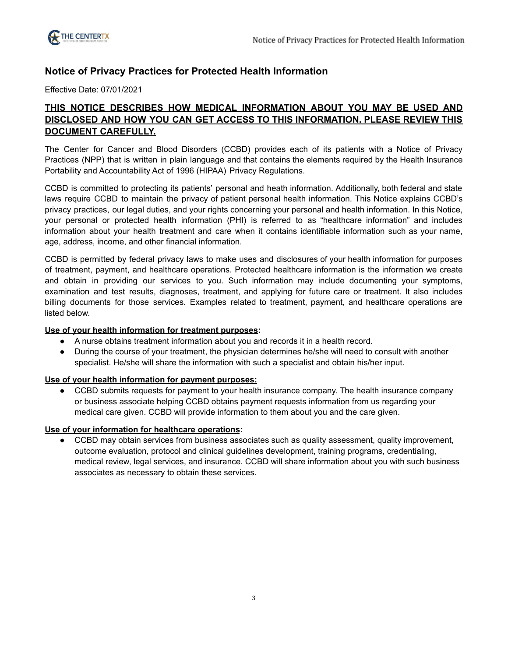# **Notice of Privacy Practices for Protected Health Information**

Effective Date: 07/01/2021

# **THIS NOTICE DESCRIBES HOW MEDICAL INFORMATION ABOUT YOU MAY BE USED AND DISCLOSED AND HOW YOU CAN GET ACCESS TO THIS INFORMATION. PLEASE REVIEW THIS DOCUMENT CAREFULLY.**

The Center for Cancer and Blood Disorders (CCBD) provides each of its patients with a Notice of Privacy Practices (NPP) that is written in plain language and that contains the elements required by the Health Insurance Portability and Accountability Act of 1996 (HIPAA) Privacy Regulations.

CCBD is committed to protecting its patients' personal and heath information. Additionally, both federal and state laws require CCBD to maintain the privacy of patient personal health information. This Notice explains CCBD's privacy practices, our legal duties, and your rights concerning your personal and health information. In this Notice, your personal or protected health information (PHI) is referred to as "healthcare information" and includes information about your health treatment and care when it contains identifiable information such as your name, age, address, income, and other financial information.

CCBD is permitted by federal privacy laws to make uses and disclosures of your health information for purposes of treatment, payment, and healthcare operations. Protected healthcare information is the information we create and obtain in providing our services to you. Such information may include documenting your symptoms, examination and test results, diagnoses, treatment, and applying for future care or treatment. It also includes billing documents for those services. Examples related to treatment, payment, and healthcare operations are listed below.

#### **Use of your health information for treatment purposes:**

- A nurse obtains treatment information about you and records it in a health record.
- During the course of your treatment, the physician determines he/she will need to consult with another specialist. He/she will share the information with such a specialist and obtain his/her input.

# **Use of your health information for payment purposes:**

● CCBD submits requests for payment to your health insurance company. The health insurance company or business associate helping CCBD obtains payment requests information from us regarding your medical care given. CCBD will provide information to them about you and the care given.

#### **Use of your information for healthcare operations:**

• CCBD may obtain services from business associates such as quality assessment, quality improvement, outcome evaluation, protocol and clinical guidelines development, training programs, credentialing, medical review, legal services, and insurance. CCBD will share information about you with such business associates as necessary to obtain these services.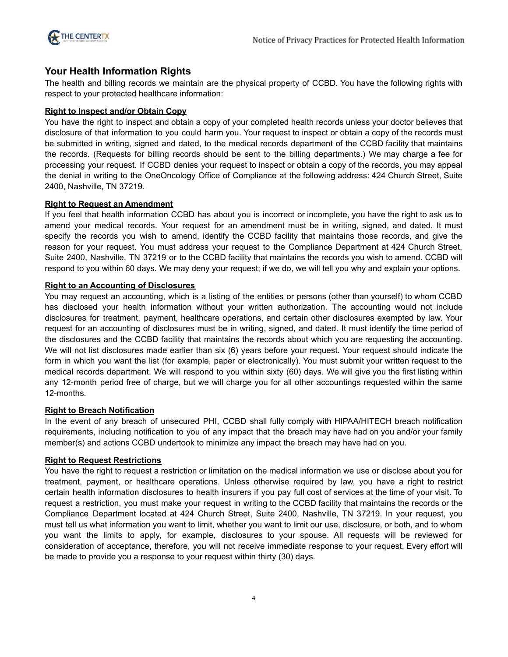

# <span id="page-3-0"></span>**Your Health Information Rights**

The health and billing records we maintain are the physical property of CCBD. You have the following rights with respect to your protected healthcare information:

# <span id="page-3-1"></span>**Right to Inspect and/or Obtain Copy**

You have the right to inspect and obtain a copy of your completed health records unless your doctor believes that disclosure of that information to you could harm you. Your request to inspect or obtain a copy of the records must be submitted in writing, signed and dated, to the medical records department of the CCBD facility that maintains the records. (Requests for billing records should be sent to the billing departments.) We may charge a fee for processing your request. If CCBD denies your request to inspect or obtain a copy of the records, you may appeal the denial in writing to the OneOncology Office of Compliance at the following address: 424 Church Street, Suite 2400, Nashville, TN 37219.

## <span id="page-3-2"></span>**Right to Request an Amendment**

If you feel that health information CCBD has about you is incorrect or incomplete, you have the right to ask us to amend your medical records. Your request for an amendment must be in writing, signed, and dated. It must specify the records you wish to amend, identify the CCBD facility that maintains those records, and give the reason for your request. You must address your request to the Compliance Department at 424 Church Street, Suite 2400, Nashville, TN 37219 or to the CCBD facility that maintains the records you wish to amend. CCBD will respond to you within 60 days. We may deny your request; if we do, we will tell you why and explain your options.

## <span id="page-3-3"></span>**Right to an Accounting of Disclosures**

You may request an accounting, which is a listing of the entities or persons (other than yourself) to whom CCBD has disclosed your health information without your written authorization. The accounting would not include disclosures for treatment, payment, healthcare operations, and certain other disclosures exempted by law. Your request for an accounting of disclosures must be in writing, signed, and dated. It must identify the time period of the disclosures and the CCBD facility that maintains the records about which you are requesting the accounting. We will not list disclosures made earlier than six (6) years before your request. Your request should indicate the form in which you want the list (for example, paper or electronically). You must submit your written request to the medical records department. We will respond to you within sixty (60) days. We will give you the first listing within any 12-month period free of charge, but we will charge you for all other accountings requested within the same 12-months.

#### <span id="page-3-4"></span>**Right to Breach Notification**

In the event of any breach of unsecured PHI, CCBD shall fully comply with HIPAA/HITECH breach notification requirements, including notification to you of any impact that the breach may have had on you and/or your family member(s) and actions CCBD undertook to minimize any impact the breach may have had on you.

#### <span id="page-3-5"></span>**Right to Request Restrictions**

You have the right to request a restriction or limitation on the medical information we use or disclose about you for treatment, payment, or healthcare operations. Unless otherwise required by law, you have a right to restrict certain health information disclosures to health insurers if you pay full cost of services at the time of your visit. To request a restriction, you must make your request in writing to the CCBD facility that maintains the records or the Compliance Department located at 424 Church Street, Suite 2400, Nashville, TN 37219. In your request, you must tell us what information you want to limit, whether you want to limit our use, disclosure, or both, and to whom you want the limits to apply, for example, disclosures to your spouse. All requests will be reviewed for consideration of acceptance, therefore, you will not receive immediate response to your request. Every effort will be made to provide you a response to your request within thirty (30) days.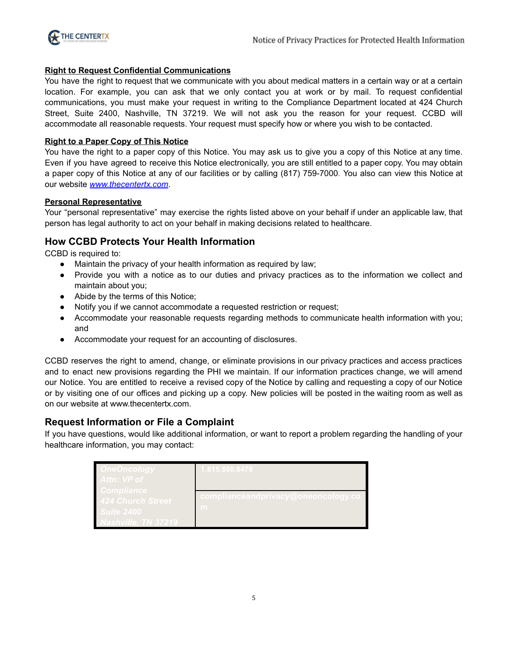

## <span id="page-4-0"></span>**Right to Request Confidential Communications**

You have the right to request that we communicate with you about medical matters in a certain way or at a certain location. For example, you can ask that we only contact you at work or by mail. To request confidential communications, you must make your request in writing to the Compliance Department located at 424 Church Street, Suite 2400, Nashville, TN 37219. We will not ask you the reason for your request. CCBD will accommodate all reasonable requests. Your request must specify how or where you wish to be contacted.

## <span id="page-4-1"></span>**Right to a Paper Copy of This Notice**

You have the right to a paper copy of this Notice. You may ask us to give you a copy of this Notice at any time. Even if you have agreed to receive this Notice electronically, you are still entitled to a paper copy. You may obtain a paper copy of this Notice at any of our facilities or by calling (817) 759-7000. You also can view this Notice at our website *[www.thecentertx.com](https://thecentertx.com/)*.

## <span id="page-4-2"></span>**Personal Representative**

Your "personal representative" may exercise the rights listed above on your behalf if under an applicable law, that person has legal authority to act on your behalf in making decisions related to healthcare.

# <span id="page-4-3"></span>**How CCBD Protects Your Health Information**

CCBD is required to:

- Maintain the privacy of your health information as required by law;
- Provide you with a notice as to our duties and privacy practices as to the information we collect and maintain about you;
- Abide by the terms of this Notice;
- Notify you if we cannot accommodate a requested restriction or request;
- Accommodate your reasonable requests regarding methods to communicate health information with you; and
- Accommodate your request for an accounting of disclosures.

CCBD reserves the right to amend, change, or eliminate provisions in our privacy practices and access practices and to enact new provisions regarding the PHI we maintain. If our information practices change, we will amend our Notice. You are entitled to receive a revised copy of the Notice by calling and requesting a copy of our Notice or by visiting one of our offices and picking up a copy. New policies will be posted in the waiting room as well as on our website at www.thecentertx.com.

# <span id="page-4-4"></span>**Request Information or File a Complaint**

If you have questions, would like additional information, or want to report a problem regarding the handling of your healthcare information, you may contact:

| <u>)neOncology</u><br>Attn: VP of                    | 615.880.8479                                     |
|------------------------------------------------------|--------------------------------------------------|
| Compliance<br><b>424 Church Street</b><br>Suite 2400 | <u>complianceandprivacy@</u> oneoncology.cq<br>m |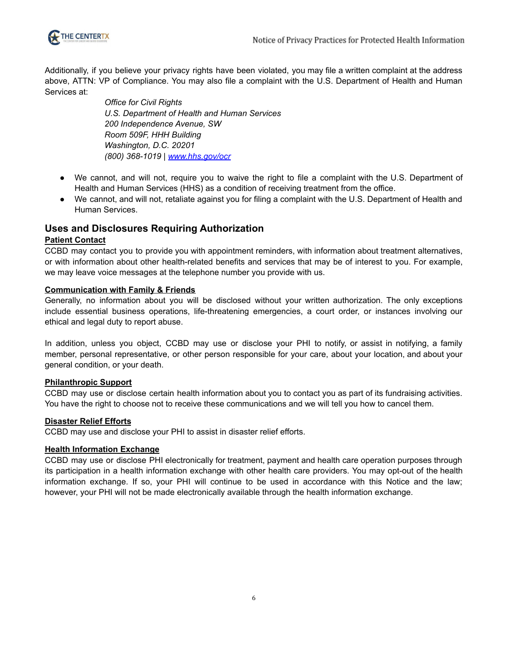

Additionally, if you believe your privacy rights have been violated, you may file a written complaint at the address above, ATTN: VP of Compliance. You may also file a complaint with the U.S. Department of Health and Human Services at:

> *Office for Civil Rights U.S. Department of Health and Human Services 200 Independence Avenue, SW Room 509F, HHH Building Washington, D.C. 20201 (800) 368-1019 | [www.hhs.gov/ocr](http://www.hhs.gov/ocr)*

- We cannot, and will not, require you to waive the right to file a complaint with the U.S. Department of Health and Human Services (HHS) as a condition of receiving treatment from the office.
- We cannot, and will not, retaliate against you for filing a complaint with the U.S. Department of Health and Human Services.

# <span id="page-5-0"></span>**Uses and Disclosures Requiring Authorization**

## <span id="page-5-1"></span>**Patient Contact**

CCBD may contact you to provide you with appointment reminders, with information about treatment alternatives, or with information about other health-related benefits and services that may be of interest to you. For example, we may leave voice messages at the telephone number you provide with us.

## <span id="page-5-2"></span>**Communication with Family & Friends**

Generally, no information about you will be disclosed without your written authorization. The only exceptions include essential business operations, life-threatening emergencies, a court order, or instances involving our ethical and legal duty to report abuse.

In addition, unless you object, CCBD may use or disclose your PHI to notify, or assist in notifying, a family member, personal representative, or other person responsible for your care, about your location, and about your general condition, or your death.

#### <span id="page-5-3"></span>**Philanthropic Support**

CCBD may use or disclose certain health information about you to contact you as part of its fundraising activities. You have the right to choose not to receive these communications and we will tell you how to cancel them.

#### <span id="page-5-4"></span>**Disaster Relief Efforts**

CCBD may use and disclose your PHI to assist in disaster relief efforts.

#### <span id="page-5-5"></span>**Health Information Exchange**

CCBD may use or disclose PHI electronically for treatment, payment and health care operation purposes through its participation in a health information exchange with other health care providers. You may opt-out of the health information exchange. If so, your PHI will continue to be used in accordance with this Notice and the law; however, your PHI will not be made electronically available through the health information exchange.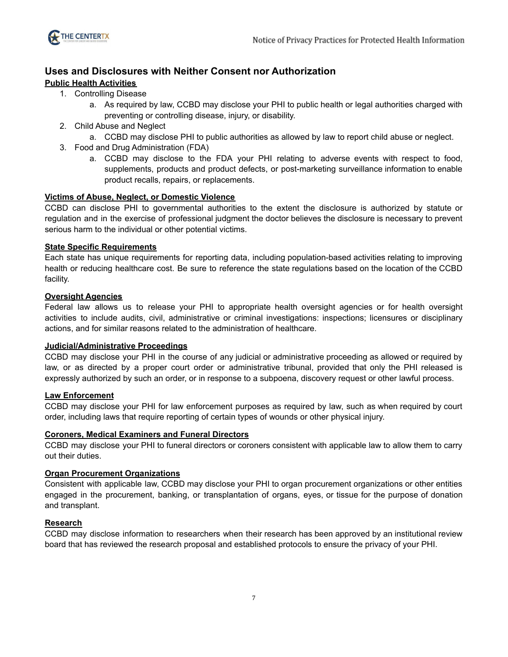

# <span id="page-6-0"></span>**Uses and Disclosures with Neither Consent nor Authorization**

# <span id="page-6-1"></span>**Public Health Activities**

- 1. Controlling Disease
	- a. As required by law, CCBD may disclose your PHI to public health or legal authorities charged with preventing or controlling disease, injury, or disability.
- 2. Child Abuse and Neglect
	- a. CCBD may disclose PHI to public authorities as allowed by law to report child abuse or neglect.
- 3. Food and Drug Administration (FDA)
	- a. CCBD may disclose to the FDA your PHI relating to adverse events with respect to food, supplements, products and product defects, or post-marketing surveillance information to enable product recalls, repairs, or replacements.

# <span id="page-6-2"></span>**Victims of Abuse, Neglect, or Domestic Violence**

CCBD can disclose PHI to governmental authorities to the extent the disclosure is authorized by statute or regulation and in the exercise of professional judgment the doctor believes the disclosure is necessary to prevent serious harm to the individual or other potential victims.

## <span id="page-6-3"></span>**State Specific Requirements**

Each state has unique requirements for reporting data, including population-based activities relating to improving health or reducing healthcare cost. Be sure to reference the state regulations based on the location of the CCBD facility.

## <span id="page-6-4"></span>**Oversight Agencies**

Federal law allows us to release your PHI to appropriate health oversight agencies or for health oversight activities to include audits, civil, administrative or criminal investigations: inspections; licensures or disciplinary actions, and for similar reasons related to the administration of healthcare.

#### <span id="page-6-5"></span>**Judicial/Administrative Proceedings**

CCBD may disclose your PHI in the course of any judicial or administrative proceeding as allowed or required by law, or as directed by a proper court order or administrative tribunal, provided that only the PHI released is expressly authorized by such an order, or in response to a subpoena, discovery request or other lawful process.

#### <span id="page-6-6"></span>**Law Enforcement**

CCBD may disclose your PHI for law enforcement purposes as required by law, such as when required by court order, including laws that require reporting of certain types of wounds or other physical injury.

#### <span id="page-6-7"></span>**Coroners, Medical Examiners and Funeral Directors**

CCBD may disclose your PHI to funeral directors or coroners consistent with applicable law to allow them to carry out their duties.

#### <span id="page-6-8"></span>**Organ Procurement Organizations**

Consistent with applicable law, CCBD may disclose your PHI to organ procurement organizations or other entities engaged in the procurement, banking, or transplantation of organs, eyes, or tissue for the purpose of donation and transplant.

# <span id="page-6-9"></span>**Research**

CCBD may disclose information to researchers when their research has been approved by an institutional review board that has reviewed the research proposal and established protocols to ensure the privacy of your PHI.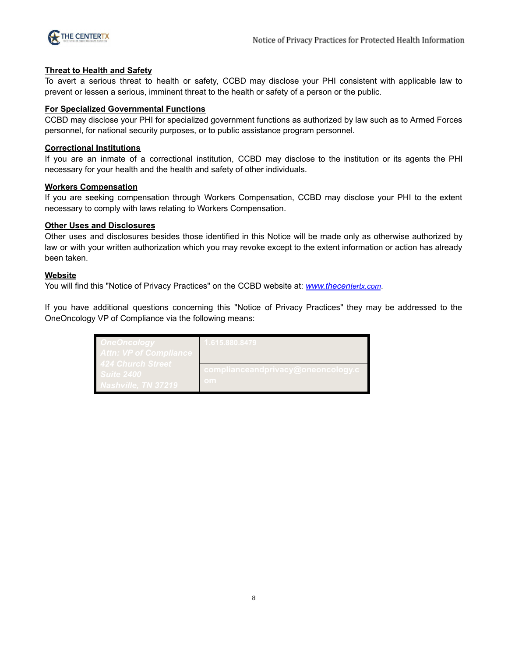

#### <span id="page-7-0"></span>**Threat to Health and Safety**

To avert a serious threat to health or safety, CCBD may disclose your PHI consistent with applicable law to prevent or lessen a serious, imminent threat to the health or safety of a person or the public.

#### <span id="page-7-1"></span>**For Specialized Governmental Functions**

CCBD may disclose your PHI for specialized government functions as authorized by law such as to Armed Forces personnel, for national security purposes, or to public assistance program personnel.

#### <span id="page-7-2"></span>**Correctional Institutions**

If you are an inmate of a correctional institution, CCBD may disclose to the institution or its agents the PHI necessary for your health and the health and safety of other individuals.

#### <span id="page-7-3"></span>**Workers Compensation**

If you are seeking compensation through Workers Compensation, CCBD may disclose your PHI to the extent necessary to comply with laws relating to Workers Compensation.

#### <span id="page-7-4"></span>**Other Uses and Disclosures**

Other uses and disclosures besides those identified in this Notice will be made only as otherwise authorized by law or with your written authorization which you may revoke except to the extent information or action has already been taken.

#### <span id="page-7-5"></span>**Website**

You will find this "Notice of Privacy Practices" on the CCBD website at: *[www.thecen](https://thecentertx.com/)tertx.com*.

If you have additional questions concerning this "Notice of Privacy Practices" they may be addressed to the OneOncology VP of Compliance via the following means:

| <u> IneOncology</u><br><u>lttn: VP of Compliance </u>                        | 1.615.880.8479                                              |
|------------------------------------------------------------------------------|-------------------------------------------------------------|
| <b>124 Church Street</b><br><b>uite 2400</b><br><b>Vashville, TN 37219</b> ' | <u>complianceandprivacy@oneoncology.c<sub>/</sub></u><br>om |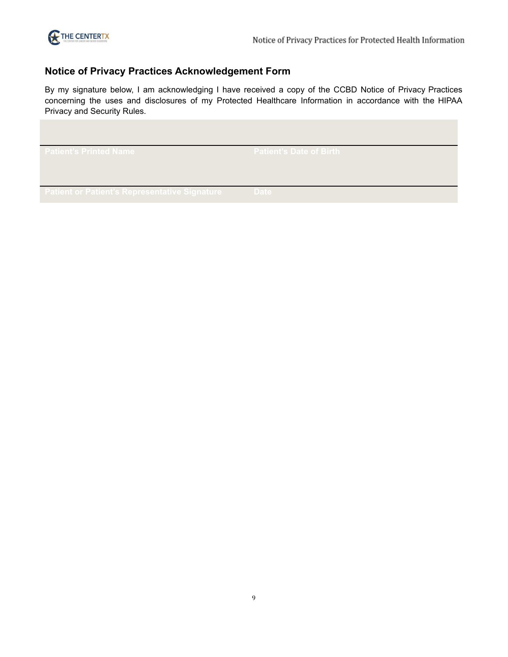

# <span id="page-8-0"></span>**Notice of Privacy Practices Acknowledgement Form**

By my signature below, I am acknowledging I have received a copy of the CCBD Notice of Privacy Practices concerning the uses and disclosures of my Protected Healthcare Information in accordance with the HIPAA Privacy and Security Rules.